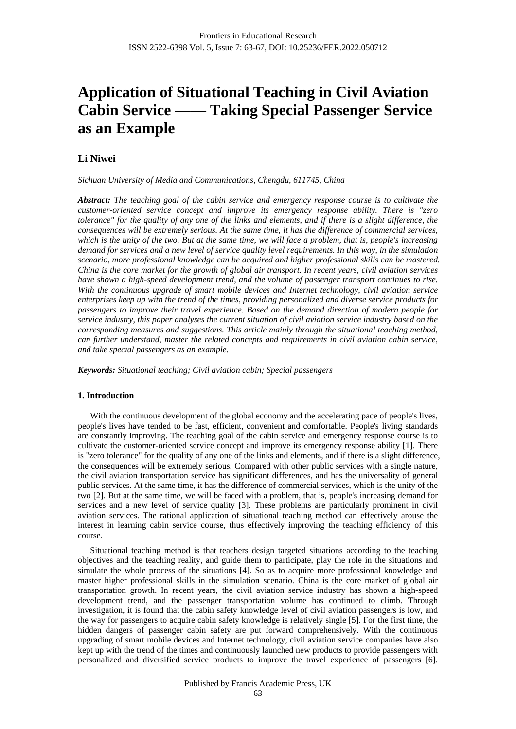# **Application of Situational Teaching in Civil Aviation Cabin Service —— Taking Special Passenger Service as an Example**

# **Li Niwei**

*Sichuan University of Media and Communications, Chengdu, 611745, China*

*Abstract: The teaching goal of the cabin service and emergency response course is to cultivate the customer-oriented service concept and improve its emergency response ability. There is "zero tolerance" for the quality of any one of the links and elements, and if there is a slight difference, the consequences will be extremely serious. At the same time, it has the difference of commercial services, which is the unity of the two. But at the same time, we will face a problem, that is, people's increasing demand for services and a new level of service quality level requirements. In this way, in the simulation scenario, more professional knowledge can be acquired and higher professional skills can be mastered. China is the core market for the growth of global air transport. In recent years, civil aviation services have shown a high-speed development trend, and the volume of passenger transport continues to rise. With the continuous upgrade of smart mobile devices and Internet technology, civil aviation service enterprises keep up with the trend of the times, providing personalized and diverse service products for passengers to improve their travel experience. Based on the demand direction of modern people for service industry, this paper analyses the current situation of civil aviation service industry based on the corresponding measures and suggestions. This article mainly through the situational teaching method, can further understand, master the related concepts and requirements in civil aviation cabin service, and take special passengers as an example.*

*Keywords: Situational teaching; Civil aviation cabin; Special passengers*

## **1. Introduction**

With the continuous development of the global economy and the accelerating pace of people's lives, people's lives have tended to be fast, efficient, convenient and comfortable. People's living standards are constantly improving. The teaching goal of the cabin service and emergency response course is to cultivate the customer-oriented service concept and improve its emergency response ability [1]. There is "zero tolerance" for the quality of any one of the links and elements, and if there is a slight difference, the consequences will be extremely serious. Compared with other public services with a single nature, the civil aviation transportation service has significant differences, and has the universality of general public services. At the same time, it has the difference of commercial services, which is the unity of the two [2]. But at the same time, we will be faced with a problem, that is, people's increasing demand for services and a new level of service quality [3]. These problems are particularly prominent in civil aviation services. The rational application of situational teaching method can effectively arouse the interest in learning cabin service course, thus effectively improving the teaching efficiency of this course.

Situational teaching method is that teachers design targeted situations according to the teaching objectives and the teaching reality, and guide them to participate, play the role in the situations and simulate the whole process of the situations [4]. So as to acquire more professional knowledge and master higher professional skills in the simulation scenario. China is the core market of global air transportation growth. In recent years, the civil aviation service industry has shown a high-speed development trend, and the passenger transportation volume has continued to climb. Through investigation, it is found that the cabin safety knowledge level of civil aviation passengers is low, and the way for passengers to acquire cabin safety knowledge is relatively single [5]. For the first time, the hidden dangers of passenger cabin safety are put forward comprehensively. With the continuous upgrading of smart mobile devices and Internet technology, civil aviation service companies have also kept up with the trend of the times and continuously launched new products to provide passengers with personalized and diversified service products to improve the travel experience of passengers [6].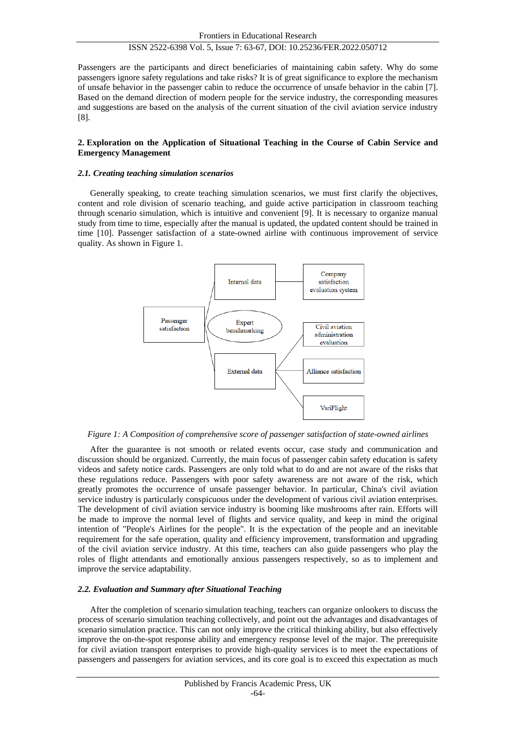Passengers are the participants and direct beneficiaries of maintaining cabin safety. Why do some passengers ignore safety regulations and take risks? It is of great significance to explore the mechanism of unsafe behavior in the passenger cabin to reduce the occurrence of unsafe behavior in the cabin [7]. Based on the demand direction of modern people for the service industry, the corresponding measures and suggestions are based on the analysis of the current situation of the civil aviation service industry [8].

#### **2. Exploration on the Application of Situational Teaching in the Course of Cabin Service and Emergency Management**

#### *2.1. Creating teaching simulation scenarios*

Generally speaking, to create teaching simulation scenarios, we must first clarify the objectives, content and role division of scenario teaching, and guide active participation in classroom teaching through scenario simulation, which is intuitive and convenient [9]. It is necessary to organize manual study from time to time, especially after the manual is updated, the updated content should be trained in time [10]. Passenger satisfaction of a state-owned airline with continuous improvement of service quality. As shown in Figure 1.



*Figure 1: A Composition of comprehensive score of passenger satisfaction of state-owned airlines*

After the guarantee is not smooth or related events occur, case study and communication and discussion should be organized. Currently, the main focus of passenger cabin safety education is safety videos and safety notice cards. Passengers are only told what to do and are not aware of the risks that these regulations reduce. Passengers with poor safety awareness are not aware of the risk, which greatly promotes the occurrence of unsafe passenger behavior. In particular, China's civil aviation service industry is particularly conspicuous under the development of various civil aviation enterprises. The development of civil aviation service industry is booming like mushrooms after rain. Efforts will be made to improve the normal level of flights and service quality, and keep in mind the original intention of "People's Airlines for the people". It is the expectation of the people and an inevitable requirement for the safe operation, quality and efficiency improvement, transformation and upgrading of the civil aviation service industry. At this time, teachers can also guide passengers who play the roles of flight attendants and emotionally anxious passengers respectively, so as to implement and improve the service adaptability.

#### *2.2. Evaluation and Summary after Situational Teaching*

After the completion of scenario simulation teaching, teachers can organize onlookers to discuss the process of scenario simulation teaching collectively, and point out the advantages and disadvantages of scenario simulation practice. This can not only improve the critical thinking ability, but also effectively improve the on-the-spot response ability and emergency response level of the major. The prerequisite for civil aviation transport enterprises to provide high-quality services is to meet the expectations of passengers and passengers for aviation services, and its core goal is to exceed this expectation as much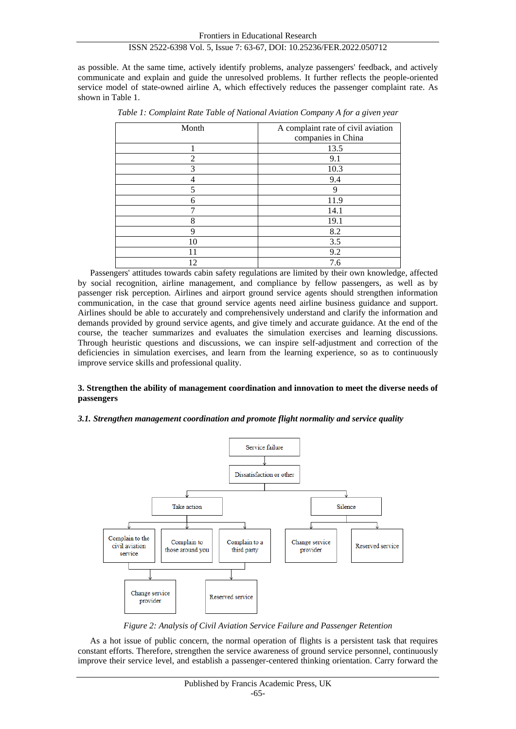as possible. At the same time, actively identify problems, analyze passengers' feedback, and actively communicate and explain and guide the unresolved problems. It further reflects the people-oriented service model of state-owned airline A, which effectively reduces the passenger complaint rate. As shown in Table 1.

| Month          | A complaint rate of civil aviation |
|----------------|------------------------------------|
|                | companies in China                 |
|                | 13.5                               |
| $\mathfrak{D}$ | 9.1                                |
| 3              | 10.3                               |
|                | 9.4                                |
| 5              | q                                  |
| 6              | 11.9                               |
|                | 14.1                               |
| 8              | 19.1                               |
| 9              | 8.2                                |
| 10             | 3.5                                |
| 11             | 9.2                                |
| 12             | 7.6                                |

*Table 1: Complaint Rate Table of National Aviation Company A for a given year*

Passengers' attitudes towards cabin safety regulations are limited by their own knowledge, affected by social recognition, airline management, and compliance by fellow passengers, as well as by passenger risk perception. Airlines and airport ground service agents should strengthen information communication, in the case that ground service agents need airline business guidance and support. Airlines should be able to accurately and comprehensively understand and clarify the information and demands provided by ground service agents, and give timely and accurate guidance. At the end of the course, the teacher summarizes and evaluates the simulation exercises and learning discussions. Through heuristic questions and discussions, we can inspire self-adjustment and correction of the deficiencies in simulation exercises, and learn from the learning experience, so as to continuously improve service skills and professional quality.

#### **3. Strengthen the ability of management coordination and innovation to meet the diverse needs of passengers**

#### *3.1. Strengthen management coordination and promote flight normality and service quality*



*Figure 2: Analysis of Civil Aviation Service Failure and Passenger Retention*

As a hot issue of public concern, the normal operation of flights is a persistent task that requires constant efforts. Therefore, strengthen the service awareness of ground service personnel, continuously improve their service level, and establish a passenger-centered thinking orientation. Carry forward the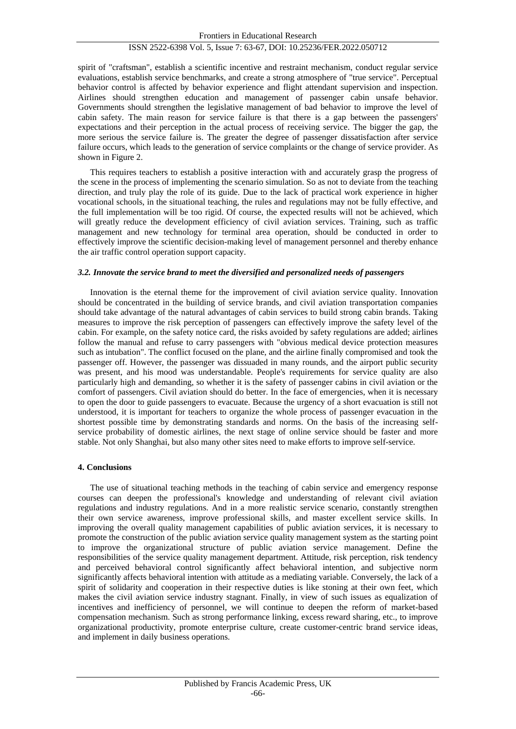spirit of "craftsman", establish a scientific incentive and restraint mechanism, conduct regular service evaluations, establish service benchmarks, and create a strong atmosphere of "true service". Perceptual behavior control is affected by behavior experience and flight attendant supervision and inspection. Airlines should strengthen education and management of passenger cabin unsafe behavior. Governments should strengthen the legislative management of bad behavior to improve the level of cabin safety. The main reason for service failure is that there is a gap between the passengers' expectations and their perception in the actual process of receiving service. The bigger the gap, the more serious the service failure is. The greater the degree of passenger dissatisfaction after service failure occurs, which leads to the generation of service complaints or the change of service provider. As shown in Figure 2.

This requires teachers to establish a positive interaction with and accurately grasp the progress of the scene in the process of implementing the scenario simulation. So as not to deviate from the teaching direction, and truly play the role of its guide. Due to the lack of practical work experience in higher vocational schools, in the situational teaching, the rules and regulations may not be fully effective, and the full implementation will be too rigid. Of course, the expected results will not be achieved, which will greatly reduce the development efficiency of civil aviation services. Training, such as traffic management and new technology for terminal area operation, should be conducted in order to effectively improve the scientific decision-making level of management personnel and thereby enhance the air traffic control operation support capacity.

#### *3.2. Innovate the service brand to meet the diversified and personalized needs of passengers*

Innovation is the eternal theme for the improvement of civil aviation service quality. Innovation should be concentrated in the building of service brands, and civil aviation transportation companies should take advantage of the natural advantages of cabin services to build strong cabin brands. Taking measures to improve the risk perception of passengers can effectively improve the safety level of the cabin. For example, on the safety notice card, the risks avoided by safety regulations are added; airlines follow the manual and refuse to carry passengers with "obvious medical device protection measures such as intubation". The conflict focused on the plane, and the airline finally compromised and took the passenger off. However, the passenger was dissuaded in many rounds, and the airport public security was present, and his mood was understandable. People's requirements for service quality are also particularly high and demanding, so whether it is the safety of passenger cabins in civil aviation or the comfort of passengers. Civil aviation should do better. In the face of emergencies, when it is necessary to open the door to guide passengers to evacuate. Because the urgency of a short evacuation is still not understood, it is important for teachers to organize the whole process of passenger evacuation in the shortest possible time by demonstrating standards and norms. On the basis of the increasing selfservice probability of domestic airlines, the next stage of online service should be faster and more stable. Not only Shanghai, but also many other sites need to make efforts to improve self-service.

#### **4. Conclusions**

The use of situational teaching methods in the teaching of cabin service and emergency response courses can deepen the professional's knowledge and understanding of relevant civil aviation regulations and industry regulations. And in a more realistic service scenario, constantly strengthen their own service awareness, improve professional skills, and master excellent service skills. In improving the overall quality management capabilities of public aviation services, it is necessary to promote the construction of the public aviation service quality management system as the starting point to improve the organizational structure of public aviation service management. Define the responsibilities of the service quality management department. Attitude, risk perception, risk tendency and perceived behavioral control significantly affect behavioral intention, and subjective norm significantly affects behavioral intention with attitude as a mediating variable. Conversely, the lack of a spirit of solidarity and cooperation in their respective duties is like stoning at their own feet, which makes the civil aviation service industry stagnant. Finally, in view of such issues as equalization of incentives and inefficiency of personnel, we will continue to deepen the reform of market-based compensation mechanism. Such as strong performance linking, excess reward sharing, etc., to improve organizational productivity, promote enterprise culture, create customer-centric brand service ideas, and implement in daily business operations.